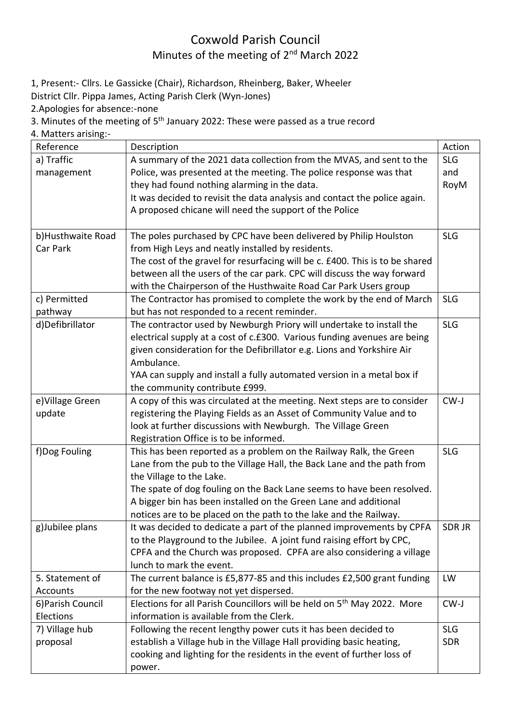## Coxwold Parish Council Minutes of the meeting of 2<sup>nd</sup> March 2022

1, Present:- Cllrs. Le Gassicke (Chair), Richardson, Rheinberg, Baker, Wheeler

District Cllr. Pippa James, Acting Parish Clerk (Wyn-Jones)

2.Apologies for absence:-none

3. Minutes of the meeting of 5th January 2022: These were passed as a true record

4. Matters arising:-

| Reference         | Description                                                                         | Action       |
|-------------------|-------------------------------------------------------------------------------------|--------------|
| a) Traffic        | A summary of the 2021 data collection from the MVAS, and sent to the                | <b>SLG</b>   |
| management        | Police, was presented at the meeting. The police response was that                  | and          |
|                   | they had found nothing alarming in the data.                                        | RoyM         |
|                   | It was decided to revisit the data analysis and contact the police again.           |              |
|                   | A proposed chicane will need the support of the Police                              |              |
|                   |                                                                                     |              |
| b)Husthwaite Road | The poles purchased by CPC have been delivered by Philip Houlston                   | <b>SLG</b>   |
| Car Park          | from High Leys and neatly installed by residents.                                   |              |
|                   | The cost of the gravel for resurfacing will be c. £400. This is to be shared        |              |
|                   | between all the users of the car park. CPC will discuss the way forward             |              |
|                   | with the Chairperson of the Husthwaite Road Car Park Users group                    |              |
| c) Permitted      | The Contractor has promised to complete the work by the end of March                | <b>SLG</b>   |
| pathway           | but has not responded to a recent reminder.                                         |              |
| d)Defibrillator   | The contractor used by Newburgh Priory will undertake to install the                | <b>SLG</b>   |
|                   | electrical supply at a cost of c.£300. Various funding avenues are being            |              |
|                   | given consideration for the Defibrillator e.g. Lions and Yorkshire Air              |              |
|                   | Ambulance.                                                                          |              |
|                   | YAA can supply and install a fully automated version in a metal box if              |              |
|                   | the community contribute £999.                                                      |              |
| e) Village Green  | A copy of this was circulated at the meeting. Next steps are to consider            | CW-J         |
| update            | registering the Playing Fields as an Asset of Community Value and to                |              |
|                   | look at further discussions with Newburgh. The Village Green                        |              |
|                   | Registration Office is to be informed.                                              |              |
| f)Dog Fouling     | This has been reported as a problem on the Railway Ralk, the Green                  | <b>SLG</b>   |
|                   | Lane from the pub to the Village Hall, the Back Lane and the path from              |              |
|                   | the Village to the Lake.                                                            |              |
|                   | The spate of dog fouling on the Back Lane seems to have been resolved.              |              |
|                   | A bigger bin has been installed on the Green Lane and additional                    |              |
|                   | notices are to be placed on the path to the lake and the Railway.                   |              |
| g)Jubilee plans   | It was decided to dedicate a part of the planned improvements by CPFA               | <b>SDRJR</b> |
|                   | to the Playground to the Jubilee. A joint fund raising effort by CPC,               |              |
|                   | CPFA and the Church was proposed. CPFA are also considering a village               |              |
|                   | lunch to mark the event.                                                            |              |
| 5. Statement of   | The current balance is £5,877-85 and this includes £2,500 grant funding             | LW           |
| Accounts          | for the new footway not yet dispersed.                                              |              |
| 6) Parish Council | Elections for all Parish Councillors will be held on 5 <sup>th</sup> May 2022. More | CW-J         |
| Elections         | information is available from the Clerk.                                            |              |
| 7) Village hub    | Following the recent lengthy power cuts it has been decided to                      | <b>SLG</b>   |
| proposal          | establish a Village hub in the Village Hall providing basic heating,                | <b>SDR</b>   |
|                   | cooking and lighting for the residents in the event of further loss of              |              |
|                   | power.                                                                              |              |